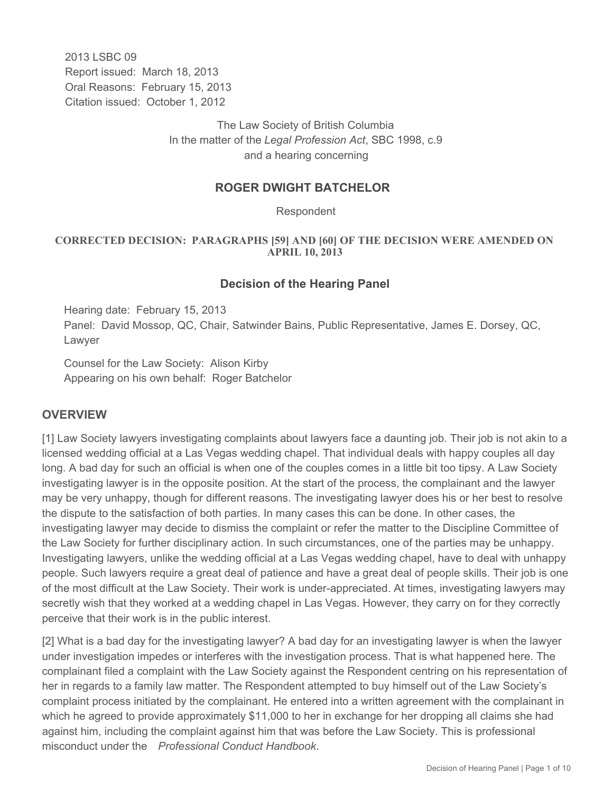2013 LSBC 09 Report issued: March 18, 2013 Oral Reasons: February 15, 2013 Citation issued: October 1, 2012

> The Law Society of British Columbia In the matter of the *Legal Profession Act*, SBC 1998, c.9 and a hearing concerning

## **ROGER DWIGHT BATCHELOR**

Respondent

#### **CORRECTED DECISION: PARAGRAPHS [59] AND [60] OF THE DECISION WERE AMENDED ON APRIL 10, 2013**

#### **Decision of the Hearing Panel**

Hearing date: February 15, 2013 Panel: David Mossop, QC, Chair, Satwinder Bains, Public Representative, James E. Dorsey, QC, Lawyer

Counsel for the Law Society: Alison Kirby Appearing on his own behalf: Roger Batchelor

### **OVERVIEW**

[1] Law Society lawyers investigating complaints about lawyers face a daunting job. Their job is not akin to a licensed wedding official at a Las Vegas wedding chapel. That individual deals with happy couples all day long. A bad day for such an official is when one of the couples comes in a little bit too tipsy. A Law Society investigating lawyer is in the opposite position. At the start of the process, the complainant and the lawyer may be very unhappy, though for different reasons. The investigating lawyer does his or her best to resolve the dispute to the satisfaction of both parties. In many cases this can be done. In other cases, the investigating lawyer may decide to dismiss the complaint or refer the matter to the Discipline Committee of the Law Society for further disciplinary action. In such circumstances, one of the parties may be unhappy. Investigating lawyers, unlike the wedding official at a Las Vegas wedding chapel, have to deal with unhappy people. Such lawyers require a great deal of patience and have a great deal of people skills. Their job is one of the most difficult at the Law Society. Their work is under-appreciated. At times, investigating lawyers may secretly wish that they worked at a wedding chapel in Las Vegas. However, they carry on for they correctly perceive that their work is in the public interest.

[2] What is a bad day for the investigating lawyer? A bad day for an investigating lawyer is when the lawyer under investigation impedes or interferes with the investigation process. That is what happened here. The complainant filed a complaint with the Law Society against the Respondent centring on his representation of her in regards to a family law matter. The Respondent attempted to buy himself out of the Law Society's complaint process initiated by the complainant. He entered into a written agreement with the complainant in which he agreed to provide approximately \$11,000 to her in exchange for her dropping all claims she had against him, including the complaint against him that was before the Law Society. This is professional misconduct under the *Professional Conduct Handbook*.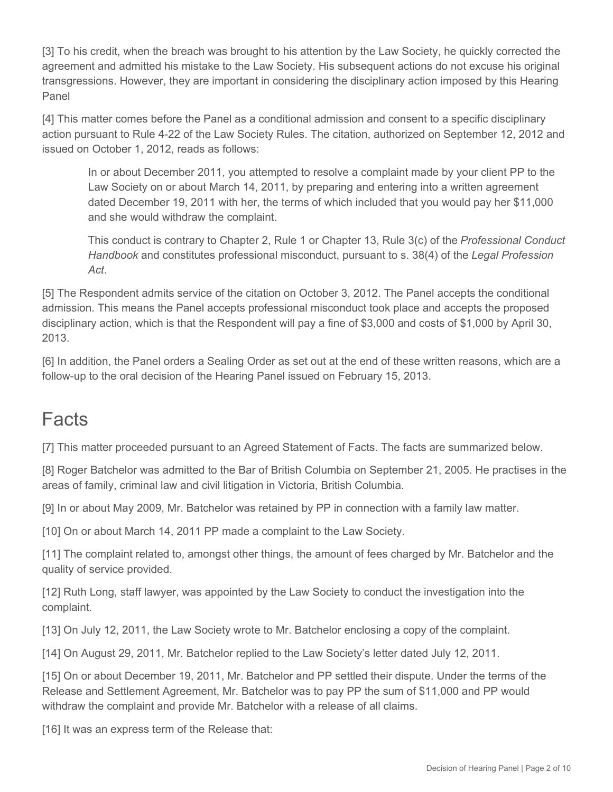[3] To his credit, when the breach was brought to his attention by the Law Society, he quickly corrected the agreement and admitted his mistake to the Law Society. His subsequent actions do not excuse his original transgressions. However, they are important in considering the disciplinary action imposed by this Hearing Panel

[4] This matter comes before the Panel as a conditional admission and consent to a specific disciplinary action pursuant to Rule 4-22 of the Law Society Rules. The citation, authorized on September 12, 2012 and issued on October 1, 2012, reads as follows:

In or about December 2011, you attempted to resolve a complaint made by your client PP to the Law Society on or about March 14, 2011, by preparing and entering into a written agreement dated December 19, 2011 with her, the terms of which included that you would pay her \$11,000 and she would withdraw the complaint.

This conduct is contrary to Chapter 2, Rule 1 or Chapter 13, Rule 3(c) of the *Professional Conduct Handbook* and constitutes professional misconduct, pursuant to s. 38(4) of the *Legal Profession Act*.

[5] The Respondent admits service of the citation on October 3, 2012. The Panel accepts the conditional admission. This means the Panel accepts professional misconduct took place and accepts the proposed disciplinary action, which is that the Respondent will pay a fine of \$3,000 and costs of \$1,000 by April 30, 2013.

[6] In addition, the Panel orders a Sealing Order as set out at the end of these written reasons, which are a follow-up to the oral decision of the Hearing Panel issued on February 15, 2013.

# Facts

[7] This matter proceeded pursuant to an Agreed Statement of Facts. The facts are summarized below.

[8] Roger Batchelor was admitted to the Bar of British Columbia on September 21, 2005. He practises in the areas of family, criminal law and civil litigation in Victoria, British Columbia.

[9] In or about May 2009, Mr. Batchelor was retained by PP in connection with a family law matter.

[10] On or about March 14, 2011 PP made a complaint to the Law Society.

[11] The complaint related to, amongst other things, the amount of fees charged by Mr. Batchelor and the quality of service provided.

[12] Ruth Long, staff lawyer, was appointed by the Law Society to conduct the investigation into the complaint.

[13] On July 12, 2011, the Law Society wrote to Mr. Batchelor enclosing a copy of the complaint.

[14] On August 29, 2011, Mr. Batchelor replied to the Law Society's letter dated July 12, 2011.

[15] On or about December 19, 2011, Mr. Batchelor and PP settled their dispute. Under the terms of the Release and Settlement Agreement, Mr. Batchelor was to pay PP the sum of \$11,000 and PP would withdraw the complaint and provide Mr. Batchelor with a release of all claims.

[16] It was an express term of the Release that: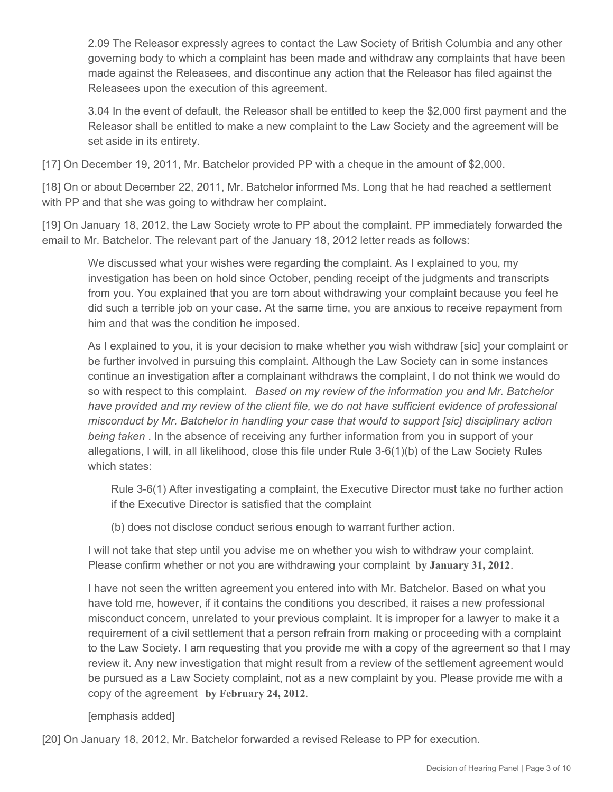2.09 The Releasor expressly agrees to contact the Law Society of British Columbia and any other governing body to which a complaint has been made and withdraw any complaints that have been made against the Releasees, and discontinue any action that the Releasor has filed against the Releasees upon the execution of this agreement.

3.04 In the event of default, the Releasor shall be entitled to keep the \$2,000 first payment and the Releasor shall be entitled to make a new complaint to the Law Society and the agreement will be set aside in its entirety.

[17] On December 19, 2011, Mr. Batchelor provided PP with a cheque in the amount of \$2,000.

[18] On or about December 22, 2011, Mr. Batchelor informed Ms. Long that he had reached a settlement with PP and that she was going to withdraw her complaint.

[19] On January 18, 2012, the Law Society wrote to PP about the complaint. PP immediately forwarded the email to Mr. Batchelor. The relevant part of the January 18, 2012 letter reads as follows:

We discussed what your wishes were regarding the complaint. As I explained to you, my investigation has been on hold since October, pending receipt of the judgments and transcripts from you. You explained that you are torn about withdrawing your complaint because you feel he did such a terrible job on your case. At the same time, you are anxious to receive repayment from him and that was the condition he imposed.

As I explained to you, it is your decision to make whether you wish withdraw [sic] your complaint or be further involved in pursuing this complaint. Although the Law Society can in some instances continue an investigation after a complainant withdraws the complaint, I do not think we would do so with respect to this complaint. *Based on my review of the information you and Mr. Batchelor have provided and my review of the client file, we do not have sufficient evidence of professional misconduct by Mr. Batchelor in handling your case that would to support [sic] disciplinary action being taken* . In the absence of receiving any further information from you in support of your allegations, I will, in all likelihood, close this file under Rule 3-6(1)(b) of the Law Society Rules which states:

Rule 3-6(1) After investigating a complaint, the Executive Director must take no further action if the Executive Director is satisfied that the complaint

(b) does not disclose conduct serious enough to warrant further action.

I will not take that step until you advise me on whether you wish to withdraw your complaint. Please confirm whether or not you are withdrawing your complaint **by January 31, 2012**.

I have not seen the written agreement you entered into with Mr. Batchelor. Based on what you have told me, however, if it contains the conditions you described, it raises a new professional misconduct concern, unrelated to your previous complaint. It is improper for a lawyer to make it a requirement of a civil settlement that a person refrain from making or proceeding with a complaint to the Law Society. I am requesting that you provide me with a copy of the agreement so that I may review it. Any new investigation that might result from a review of the settlement agreement would be pursued as a Law Society complaint, not as a new complaint by you. Please provide me with a copy of the agreement **by February 24, 2012**.

[emphasis added]

[20] On January 18, 2012, Mr. Batchelor forwarded a revised Release to PP for execution.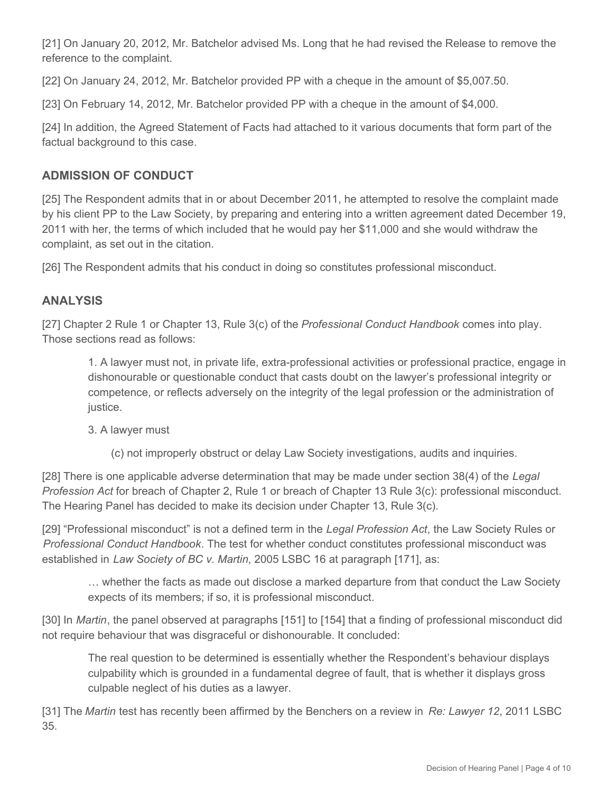[21] On January 20, 2012, Mr. Batchelor advised Ms. Long that he had revised the Release to remove the reference to the complaint.

[22] On January 24, 2012, Mr. Batchelor provided PP with a cheque in the amount of \$5,007.50.

[23] On February 14, 2012, Mr. Batchelor provided PP with a cheque in the amount of \$4,000.

[24] In addition, the Agreed Statement of Facts had attached to it various documents that form part of the factual background to this case.

# **ADMISSION OF CONDUCT**

[25] The Respondent admits that in or about December 2011, he attempted to resolve the complaint made by his client PP to the Law Society, by preparing and entering into a written agreement dated December 19, 2011 with her, the terms of which included that he would pay her \$11,000 and she would withdraw the complaint, as set out in the citation.

[26] The Respondent admits that his conduct in doing so constitutes professional misconduct.

# **ANALYSIS**

[27] Chapter 2 Rule 1 or Chapter 13, Rule 3(c) of the *Professional Conduct Handbook* comes into play. Those sections read as follows:

1. A lawyer must not, in private life, extra-professional activities or professional practice, engage in dishonourable or questionable conduct that casts doubt on the lawyer's professional integrity or competence, or reflects adversely on the integrity of the legal profession or the administration of justice.

3. A lawyer must

(c) not improperly obstruct or delay Law Society investigations, audits and inquiries.

[28] There is one applicable adverse determination that may be made under section 38(4) of the *Legal Profession Act* for breach of Chapter 2, Rule 1 or breach of Chapter 13 Rule 3(c): professional misconduct. The Hearing Panel has decided to make its decision under Chapter 13, Rule 3(c).

[29] "Professional misconduct" is not a defined term in the *Legal Profession Act*, the Law Society Rules or *Professional Conduct Handbook*. The test for whether conduct constitutes professional misconduct was established in *Law Society of BC v. Martin*, 2005 LSBC 16 at paragraph [171], as:

… whether the facts as made out disclose a marked departure from that conduct the Law Society expects of its members; if so, it is professional misconduct.

[30] In *Martin*, the panel observed at paragraphs [151] to [154] that a finding of professional misconduct did not require behaviour that was disgraceful or dishonourable. It concluded:

The real question to be determined is essentially whether the Respondent's behaviour displays culpability which is grounded in a fundamental degree of fault, that is whether it displays gross culpable neglect of his duties as a lawyer.

[31] The *Martin* test has recently been affirmed by the Benchers on a review in *Re: Lawyer 12*, 2011 LSBC 35.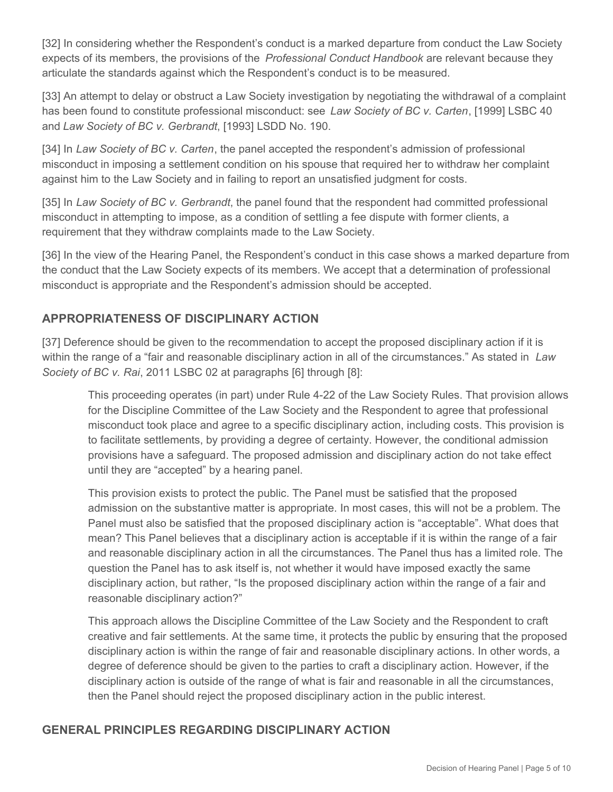[32] In considering whether the Respondent's conduct is a marked departure from conduct the Law Society expects of its members, the provisions of the *Professional Conduct Handbook* are relevant because they articulate the standards against which the Respondent's conduct is to be measured.

[33] An attempt to delay or obstruct a Law Society investigation by negotiating the withdrawal of a complaint has been found to constitute professional misconduct: see *Law Society of BC v. Carten*, [1999] LSBC 40 and *Law Society of BC v. Gerbrandt*, [1993] LSDD No. 190.

[34] In *Law Society of BC v. Carten*, the panel accepted the respondent's admission of professional misconduct in imposing a settlement condition on his spouse that required her to withdraw her complaint against him to the Law Society and in failing to report an unsatisfied judgment for costs.

[35] In *Law Society of BC v. Gerbrandt*, the panel found that the respondent had committed professional misconduct in attempting to impose, as a condition of settling a fee dispute with former clients, a requirement that they withdraw complaints made to the Law Society.

[36] In the view of the Hearing Panel, the Respondent's conduct in this case shows a marked departure from the conduct that the Law Society expects of its members. We accept that a determination of professional misconduct is appropriate and the Respondent's admission should be accepted.

# **APPROPRIATENESS OF DISCIPLINARY ACTION**

[37] Deference should be given to the recommendation to accept the proposed disciplinary action if it is within the range of a "fair and reasonable disciplinary action in all of the circumstances." As stated in *Law Society of BC v. Rai*, 2011 LSBC 02 at paragraphs [6] through [8]:

This proceeding operates (in part) under Rule 4-22 of the Law Society Rules. That provision allows for the Discipline Committee of the Law Society and the Respondent to agree that professional misconduct took place and agree to a specific disciplinary action, including costs. This provision is to facilitate settlements, by providing a degree of certainty. However, the conditional admission provisions have a safeguard. The proposed admission and disciplinary action do not take effect until they are "accepted" by a hearing panel.

This provision exists to protect the public. The Panel must be satisfied that the proposed admission on the substantive matter is appropriate. In most cases, this will not be a problem. The Panel must also be satisfied that the proposed disciplinary action is "acceptable". What does that mean? This Panel believes that a disciplinary action is acceptable if it is within the range of a fair and reasonable disciplinary action in all the circumstances. The Panel thus has a limited role. The question the Panel has to ask itself is, not whether it would have imposed exactly the same disciplinary action, but rather, "Is the proposed disciplinary action within the range of a fair and reasonable disciplinary action?"

This approach allows the Discipline Committee of the Law Society and the Respondent to craft creative and fair settlements. At the same time, it protects the public by ensuring that the proposed disciplinary action is within the range of fair and reasonable disciplinary actions. In other words, a degree of deference should be given to the parties to craft a disciplinary action. However, if the disciplinary action is outside of the range of what is fair and reasonable in all the circumstances, then the Panel should reject the proposed disciplinary action in the public interest.

# **GENERAL PRINCIPLES REGARDING DISCIPLINARY ACTION**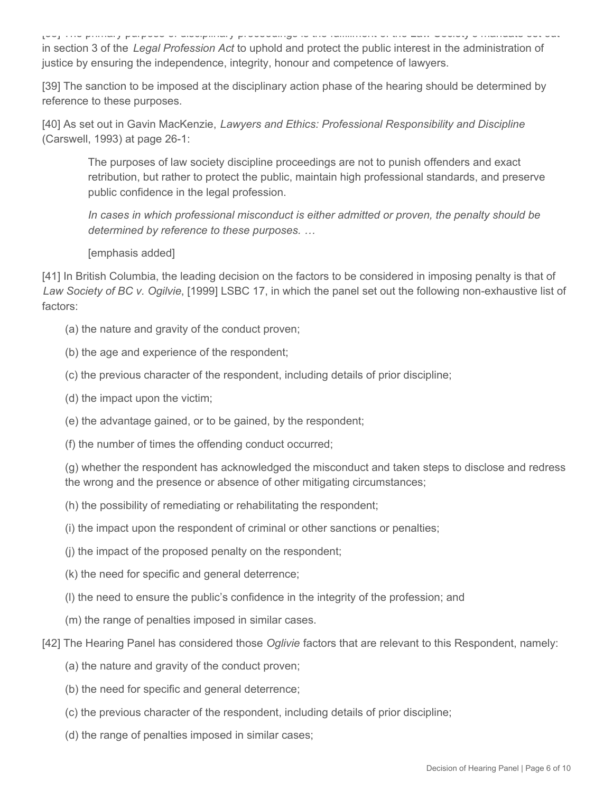[38] The primary purpose of disciplinary proceedings is the fulfillment of the Law Society's mandate set out in section 3 of the *Legal Profession Act* to uphold and protect the public interest in the administration of justice by ensuring the independence, integrity, honour and competence of lawyers.

[39] The sanction to be imposed at the disciplinary action phase of the hearing should be determined by reference to these purposes.

[40] As set out in Gavin MacKenzie, *Lawyers and Ethics: Professional Responsibility and Discipline* (Carswell, 1993) at page 26-1:

The purposes of law society discipline proceedings are not to punish offenders and exact retribution, but rather to protect the public, maintain high professional standards, and preserve public confidence in the legal profession.

*In cases in which professional misconduct is either admitted or proven, the penalty should be determined by reference to these purposes. …*

[emphasis added]

[41] In British Columbia, the leading decision on the factors to be considered in imposing penalty is that of *Law Society of BC v. Ogilvie*, [1999] LSBC 17, in which the panel set out the following non-exhaustive list of factors:

- (a) the nature and gravity of the conduct proven;
- (b) the age and experience of the respondent;
- (c) the previous character of the respondent, including details of prior discipline;
- (d) the impact upon the victim;
- (e) the advantage gained, or to be gained, by the respondent;
- (f) the number of times the offending conduct occurred;

(g) whether the respondent has acknowledged the misconduct and taken steps to disclose and redress the wrong and the presence or absence of other mitigating circumstances;

- (h) the possibility of remediating or rehabilitating the respondent;
- (i) the impact upon the respondent of criminal or other sanctions or penalties;
- (j) the impact of the proposed penalty on the respondent;
- (k) the need for specific and general deterrence;
- (l) the need to ensure the public's confidence in the integrity of the profession; and
- (m) the range of penalties imposed in similar cases.
- [42] The Hearing Panel has considered those *Oglivie* factors that are relevant to this Respondent, namely:
	- (a) the nature and gravity of the conduct proven;
	- (b) the need for specific and general deterrence;
	- (c) the previous character of the respondent, including details of prior discipline;
	- (d) the range of penalties imposed in similar cases;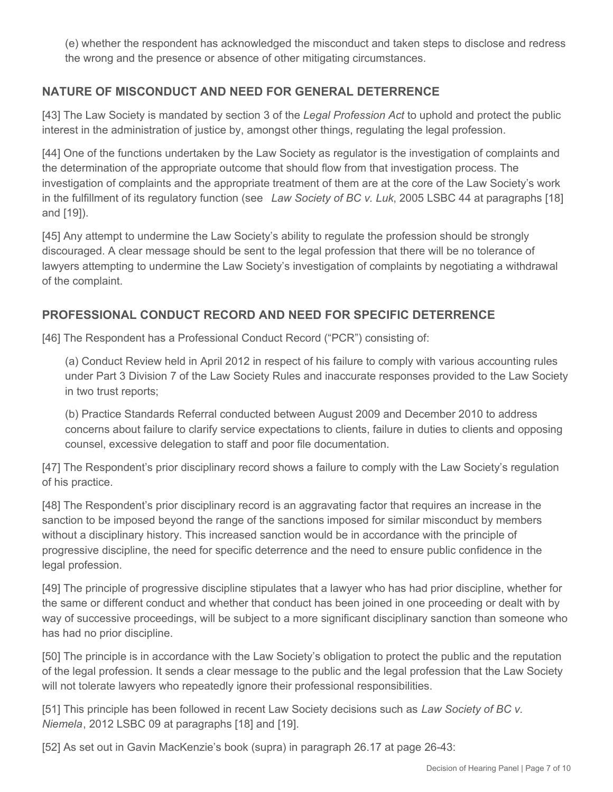(e) whether the respondent has acknowledged the misconduct and taken steps to disclose and redress the wrong and the presence or absence of other mitigating circumstances.

# **NATURE OF MISCONDUCT AND NEED FOR GENERAL DETERRENCE**

[43] The Law Society is mandated by section 3 of the *Legal Profession Act* to uphold and protect the public interest in the administration of justice by, amongst other things, regulating the legal profession.

[44] One of the functions undertaken by the Law Society as regulator is the investigation of complaints and the determination of the appropriate outcome that should flow from that investigation process. The investigation of complaints and the appropriate treatment of them are at the core of the Law Society's work in the fulfillment of its regulatory function (see *Law Society of BC v. Luk*, 2005 LSBC 44 at paragraphs [18] and [19]).

[45] Any attempt to undermine the Law Society's ability to regulate the profession should be strongly discouraged. A clear message should be sent to the legal profession that there will be no tolerance of lawyers attempting to undermine the Law Society's investigation of complaints by negotiating a withdrawal of the complaint.

# **PROFESSIONAL CONDUCT RECORD AND NEED FOR SPECIFIC DETERRENCE**

[46] The Respondent has a Professional Conduct Record ("PCR") consisting of:

(a) Conduct Review held in April 2012 in respect of his failure to comply with various accounting rules under Part 3 Division 7 of the Law Society Rules and inaccurate responses provided to the Law Society in two trust reports;

(b) Practice Standards Referral conducted between August 2009 and December 2010 to address concerns about failure to clarify service expectations to clients, failure in duties to clients and opposing counsel, excessive delegation to staff and poor file documentation.

[47] The Respondent's prior disciplinary record shows a failure to comply with the Law Society's regulation of his practice.

[48] The Respondent's prior disciplinary record is an aggravating factor that requires an increase in the sanction to be imposed beyond the range of the sanctions imposed for similar misconduct by members without a disciplinary history. This increased sanction would be in accordance with the principle of progressive discipline, the need for specific deterrence and the need to ensure public confidence in the legal profession.

[49] The principle of progressive discipline stipulates that a lawyer who has had prior discipline, whether for the same or different conduct and whether that conduct has been joined in one proceeding or dealt with by way of successive proceedings, will be subject to a more significant disciplinary sanction than someone who has had no prior discipline.

[50] The principle is in accordance with the Law Society's obligation to protect the public and the reputation of the legal profession. It sends a clear message to the public and the legal profession that the Law Society will not tolerate lawyers who repeatedly ignore their professional responsibilities.

[51] This principle has been followed in recent Law Society decisions such as *Law Society of BC v. Niemela*, 2012 LSBC 09 at paragraphs [18] and [19].

[52] As set out in Gavin MacKenzie's book (supra) in paragraph 26.17 at page 26-43: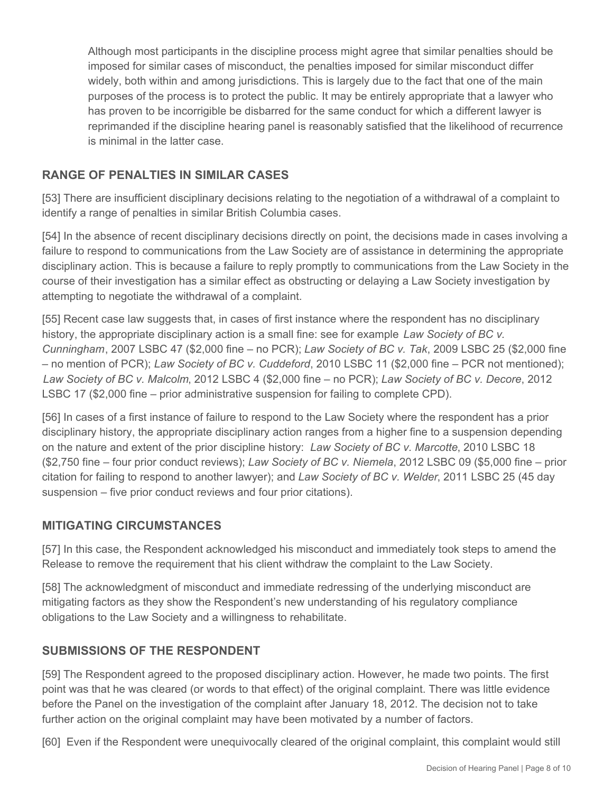Although most participants in the discipline process might agree that similar penalties should be imposed for similar cases of misconduct, the penalties imposed for similar misconduct differ widely, both within and among jurisdictions. This is largely due to the fact that one of the main purposes of the process is to protect the public. It may be entirely appropriate that a lawyer who has proven to be incorrigible be disbarred for the same conduct for which a different lawyer is reprimanded if the discipline hearing panel is reasonably satisfied that the likelihood of recurrence is minimal in the latter case.

# **RANGE OF PENALTIES IN SIMILAR CASES**

[53] There are insufficient disciplinary decisions relating to the negotiation of a withdrawal of a complaint to identify a range of penalties in similar British Columbia cases.

[54] In the absence of recent disciplinary decisions directly on point, the decisions made in cases involving a failure to respond to communications from the Law Society are of assistance in determining the appropriate disciplinary action. This is because a failure to reply promptly to communications from the Law Society in the course of their investigation has a similar effect as obstructing or delaying a Law Society investigation by attempting to negotiate the withdrawal of a complaint.

[55] Recent case law suggests that, in cases of first instance where the respondent has no disciplinary history, the appropriate disciplinary action is a small fine: see for example *Law Society of BC v. Cunningham*, 2007 LSBC 47 (\$2,000 fine – no PCR); *Law Society of BC v. Tak*, 2009 LSBC 25 (\$2,000 fine – no mention of PCR); *Law Society of BC v. Cuddeford*, 2010 LSBC 11 (\$2,000 fine – PCR not mentioned); *Law Society of BC v. Malcolm*, 2012 LSBC 4 (\$2,000 fine – no PCR); *Law Society of BC v. Decore*, 2012 LSBC 17 (\$2,000 fine – prior administrative suspension for failing to complete CPD).

[56] In cases of a first instance of failure to respond to the Law Society where the respondent has a prior disciplinary history, the appropriate disciplinary action ranges from a higher fine to a suspension depending on the nature and extent of the prior discipline history: *Law Society of BC v. Marcotte*, 2010 LSBC 18 (\$2,750 fine – four prior conduct reviews); *Law Society of BC v. Niemela*, 2012 LSBC 09 (\$5,000 fine – prior citation for failing to respond to another lawyer); and *Law Society of BC v. Welder*, 2011 LSBC 25 (45 day suspension – five prior conduct reviews and four prior citations).

# **MITIGATING CIRCUMSTANCES**

[57] In this case, the Respondent acknowledged his misconduct and immediately took steps to amend the Release to remove the requirement that his client withdraw the complaint to the Law Society.

[58] The acknowledgment of misconduct and immediate redressing of the underlying misconduct are mitigating factors as they show the Respondent's new understanding of his regulatory compliance obligations to the Law Society and a willingness to rehabilitate.

# **SUBMISSIONS OF THE RESPONDENT**

[59] The Respondent agreed to the proposed disciplinary action. However, he made two points. The first point was that he was cleared (or words to that effect) of the original complaint. There was little evidence before the Panel on the investigation of the complaint after January 18, 2012. The decision not to take further action on the original complaint may have been motivated by a number of factors.

[60] Even if the Respondent were unequivocally cleared of the original complaint, this complaint would still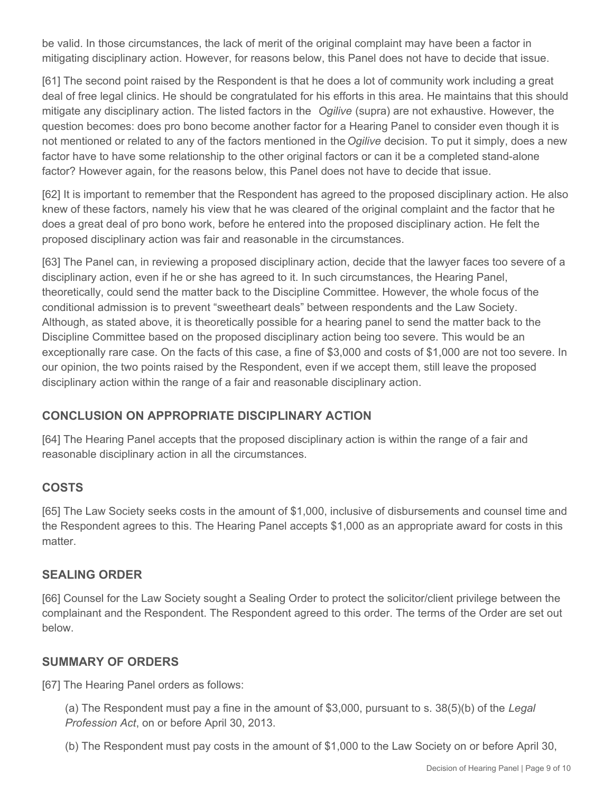be valid. In those circumstances, the lack of merit of the original complaint may have been a factor in mitigating disciplinary action. However, for reasons below, this Panel does not have to decide that issue.

[61] The second point raised by the Respondent is that he does a lot of community work including a great deal of free legal clinics. He should be congratulated for his efforts in this area. He maintains that this should mitigate any disciplinary action. The listed factors in the *Ogilive* (supra) are not exhaustive. However, the question becomes: does pro bono become another factor for a Hearing Panel to consider even though it is not mentioned or related to any of the factors mentioned in the *Ogilive* decision. To put it simply, does a new factor have to have some relationship to the other original factors or can it be a completed stand-alone factor? However again, for the reasons below, this Panel does not have to decide that issue.

[62] It is important to remember that the Respondent has agreed to the proposed disciplinary action. He also knew of these factors, namely his view that he was cleared of the original complaint and the factor that he does a great deal of pro bono work, before he entered into the proposed disciplinary action. He felt the proposed disciplinary action was fair and reasonable in the circumstances.

[63] The Panel can, in reviewing a proposed disciplinary action, decide that the lawyer faces too severe of a disciplinary action, even if he or she has agreed to it. In such circumstances, the Hearing Panel, theoretically, could send the matter back to the Discipline Committee. However, the whole focus of the conditional admission is to prevent "sweetheart deals" between respondents and the Law Society. Although, as stated above, it is theoretically possible for a hearing panel to send the matter back to the Discipline Committee based on the proposed disciplinary action being too severe. This would be an exceptionally rare case. On the facts of this case, a fine of \$3,000 and costs of \$1,000 are not too severe. In our opinion, the two points raised by the Respondent, even if we accept them, still leave the proposed disciplinary action within the range of a fair and reasonable disciplinary action.

# **CONCLUSION ON APPROPRIATE DISCIPLINARY ACTION**

[64] The Hearing Panel accepts that the proposed disciplinary action is within the range of a fair and reasonable disciplinary action in all the circumstances.

# **COSTS**

[65] The Law Society seeks costs in the amount of \$1,000, inclusive of disbursements and counsel time and the Respondent agrees to this. The Hearing Panel accepts \$1,000 as an appropriate award for costs in this matter.

### **SEALING ORDER**

[66] Counsel for the Law Society sought a Sealing Order to protect the solicitor/client privilege between the complainant and the Respondent. The Respondent agreed to this order. The terms of the Order are set out below.

### **SUMMARY OF ORDERS**

[67] The Hearing Panel orders as follows:

(a) The Respondent must pay a fine in the amount of \$3,000, pursuant to s. 38(5)(b) of the *Legal Profession Act*, on or before April 30, 2013.

(b) The Respondent must pay costs in the amount of \$1,000 to the Law Society on or before April 30,